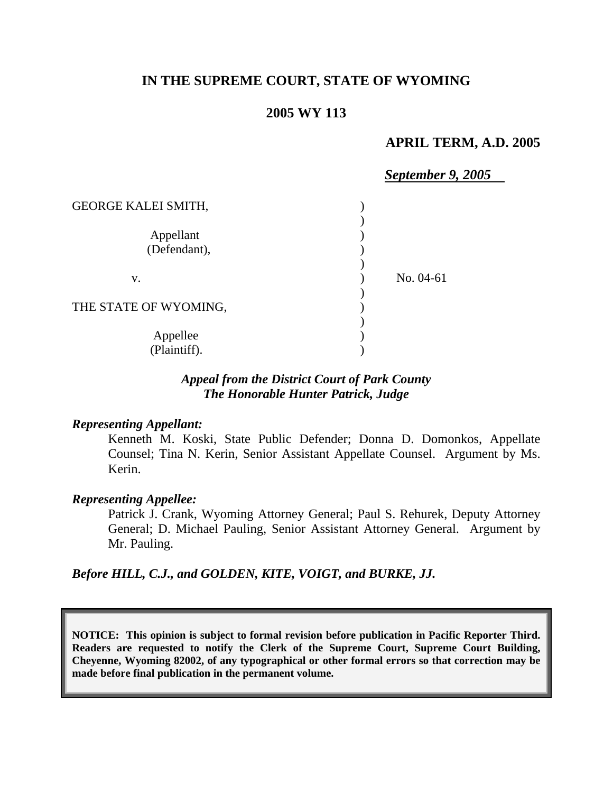# **IN THE SUPREME COURT, STATE OF WYOMING**

## **2005 WY 113**

### **APRIL TERM, A.D. 2005**

|                            | <b>September 9, 2005</b> |
|----------------------------|--------------------------|
| <b>GEORGE KALEI SMITH,</b> |                          |
|                            |                          |
| Appellant                  |                          |
| (Defendant),               |                          |
|                            |                          |
| V.                         | No. 04-61                |
|                            |                          |
| THE STATE OF WYOMING,      |                          |
|                            |                          |
| Appellee                   |                          |
| (Plaintiff).               |                          |

## *Appeal from the District Court of Park County The Honorable Hunter Patrick, Judge*

#### *Representing Appellant:*

Kenneth M. Koski, State Public Defender; Donna D. Domonkos, Appellate Counsel; Tina N. Kerin, Senior Assistant Appellate Counsel. Argument by Ms. Kerin.

#### *Representing Appellee:*

Patrick J. Crank, Wyoming Attorney General; Paul S. Rehurek, Deputy Attorney General; D. Michael Pauling, Senior Assistant Attorney General. Argument by Mr. Pauling.

*Before HILL, C.J., and GOLDEN, KITE, VOIGT, and BURKE, JJ.* 

**NOTICE: This opinion is subject to formal revision before publication in Pacific Reporter Third. Readers are requested to notify the Clerk of the Supreme Court, Supreme Court Building, Cheyenne, Wyoming 82002, of any typographical or other formal errors so that correction may be made before final publication in the permanent volume.**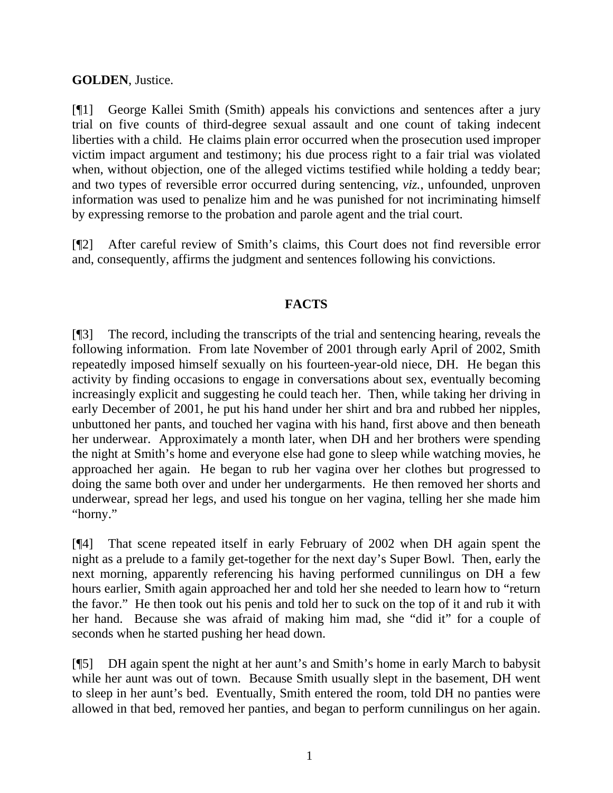# **GOLDEN**, Justice.

[¶1] George Kallei Smith (Smith) appeals his convictions and sentences after a jury trial on five counts of third-degree sexual assault and one count of taking indecent liberties with a child. He claims plain error occurred when the prosecution used improper victim impact argument and testimony; his due process right to a fair trial was violated when, without objection, one of the alleged victims testified while holding a teddy bear; and two types of reversible error occurred during sentencing, *viz.*, unfounded, unproven information was used to penalize him and he was punished for not incriminating himself by expressing remorse to the probation and parole agent and the trial court.

[¶2] After careful review of Smith's claims, this Court does not find reversible error and, consequently, affirms the judgment and sentences following his convictions.

# **FACTS**

[¶3] The record, including the transcripts of the trial and sentencing hearing, reveals the following information. From late November of 2001 through early April of 2002, Smith repeatedly imposed himself sexually on his fourteen-year-old niece, DH. He began this activity by finding occasions to engage in conversations about sex, eventually becoming increasingly explicit and suggesting he could teach her. Then, while taking her driving in early December of 2001, he put his hand under her shirt and bra and rubbed her nipples, unbuttoned her pants, and touched her vagina with his hand, first above and then beneath her underwear. Approximately a month later, when DH and her brothers were spending the night at Smith's home and everyone else had gone to sleep while watching movies, he approached her again. He began to rub her vagina over her clothes but progressed to doing the same both over and under her undergarments. He then removed her shorts and underwear, spread her legs, and used his tongue on her vagina, telling her she made him "horny."

[¶4] That scene repeated itself in early February of 2002 when DH again spent the night as a prelude to a family get-together for the next day's Super Bowl. Then, early the next morning, apparently referencing his having performed cunnilingus on DH a few hours earlier, Smith again approached her and told her she needed to learn how to "return the favor." He then took out his penis and told her to suck on the top of it and rub it with her hand. Because she was afraid of making him mad, she "did it" for a couple of seconds when he started pushing her head down.

[¶5] DH again spent the night at her aunt's and Smith's home in early March to babysit while her aunt was out of town. Because Smith usually slept in the basement, DH went to sleep in her aunt's bed. Eventually, Smith entered the room, told DH no panties were allowed in that bed, removed her panties, and began to perform cunnilingus on her again.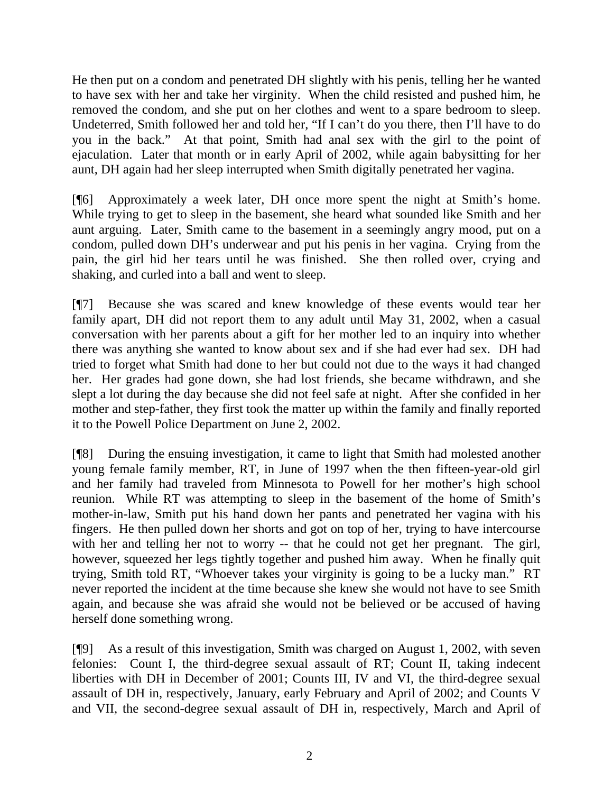He then put on a condom and penetrated DH slightly with his penis, telling her he wanted to have sex with her and take her virginity. When the child resisted and pushed him, he removed the condom, and she put on her clothes and went to a spare bedroom to sleep. Undeterred, Smith followed her and told her, "If I can't do you there, then I'll have to do you in the back." At that point, Smith had anal sex with the girl to the point of ejaculation. Later that month or in early April of 2002, while again babysitting for her aunt, DH again had her sleep interrupted when Smith digitally penetrated her vagina.

[¶6] Approximately a week later, DH once more spent the night at Smith's home. While trying to get to sleep in the basement, she heard what sounded like Smith and her aunt arguing. Later, Smith came to the basement in a seemingly angry mood, put on a condom, pulled down DH's underwear and put his penis in her vagina. Crying from the pain, the girl hid her tears until he was finished. She then rolled over, crying and shaking, and curled into a ball and went to sleep.

[¶7] Because she was scared and knew knowledge of these events would tear her family apart, DH did not report them to any adult until May 31, 2002, when a casual conversation with her parents about a gift for her mother led to an inquiry into whether there was anything she wanted to know about sex and if she had ever had sex. DH had tried to forget what Smith had done to her but could not due to the ways it had changed her. Her grades had gone down, she had lost friends, she became withdrawn, and she slept a lot during the day because she did not feel safe at night. After she confided in her mother and step-father, they first took the matter up within the family and finally reported it to the Powell Police Department on June 2, 2002.

[¶8] During the ensuing investigation, it came to light that Smith had molested another young female family member, RT, in June of 1997 when the then fifteen-year-old girl and her family had traveled from Minnesota to Powell for her mother's high school reunion. While RT was attempting to sleep in the basement of the home of Smith's mother-in-law, Smith put his hand down her pants and penetrated her vagina with his fingers. He then pulled down her shorts and got on top of her, trying to have intercourse with her and telling her not to worry -- that he could not get her pregnant. The girl, however, squeezed her legs tightly together and pushed him away. When he finally quit trying, Smith told RT, "Whoever takes your virginity is going to be a lucky man." RT never reported the incident at the time because she knew she would not have to see Smith again, and because she was afraid she would not be believed or be accused of having herself done something wrong.

[¶9] As a result of this investigation, Smith was charged on August 1, 2002, with seven felonies: Count I, the third-degree sexual assault of RT; Count II, taking indecent liberties with DH in December of 2001; Counts III, IV and VI, the third-degree sexual assault of DH in, respectively, January, early February and April of 2002; and Counts V and VII, the second-degree sexual assault of DH in, respectively, March and April of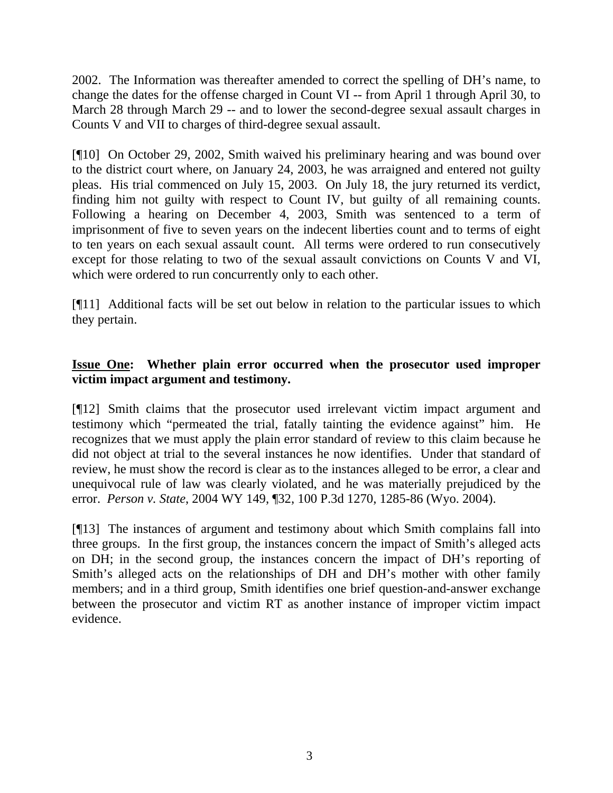2002. The Information was thereafter amended to correct the spelling of DH's name, to change the dates for the offense charged in Count VI -- from April 1 through April 30, to March 28 through March 29 -- and to lower the second-degree sexual assault charges in Counts V and VII to charges of third-degree sexual assault.

[¶10] On October 29, 2002, Smith waived his preliminary hearing and was bound over to the district court where, on January 24, 2003, he was arraigned and entered not guilty pleas. His trial commenced on July 15, 2003. On July 18, the jury returned its verdict, finding him not guilty with respect to Count IV, but guilty of all remaining counts. Following a hearing on December 4, 2003, Smith was sentenced to a term of imprisonment of five to seven years on the indecent liberties count and to terms of eight to ten years on each sexual assault count. All terms were ordered to run consecutively except for those relating to two of the sexual assault convictions on Counts V and VI, which were ordered to run concurrently only to each other.

[¶11] Additional facts will be set out below in relation to the particular issues to which they pertain.

# **Issue One: Whether plain error occurred when the prosecutor used improper victim impact argument and testimony.**

[¶12] Smith claims that the prosecutor used irrelevant victim impact argument and testimony which "permeated the trial, fatally tainting the evidence against" him. He recognizes that we must apply the plain error standard of review to this claim because he did not object at trial to the several instances he now identifies. Under that standard of review, he must show the record is clear as to the instances alleged to be error, a clear and unequivocal rule of law was clearly violated, and he was materially prejudiced by the error. *Person v. State*, 2004 WY 149, ¶32, 100 P.3d 1270, 1285-86 (Wyo. 2004).

[¶13] The instances of argument and testimony about which Smith complains fall into three groups. In the first group, the instances concern the impact of Smith's alleged acts on DH; in the second group, the instances concern the impact of DH's reporting of Smith's alleged acts on the relationships of DH and DH's mother with other family members; and in a third group, Smith identifies one brief question-and-answer exchange between the prosecutor and victim RT as another instance of improper victim impact evidence.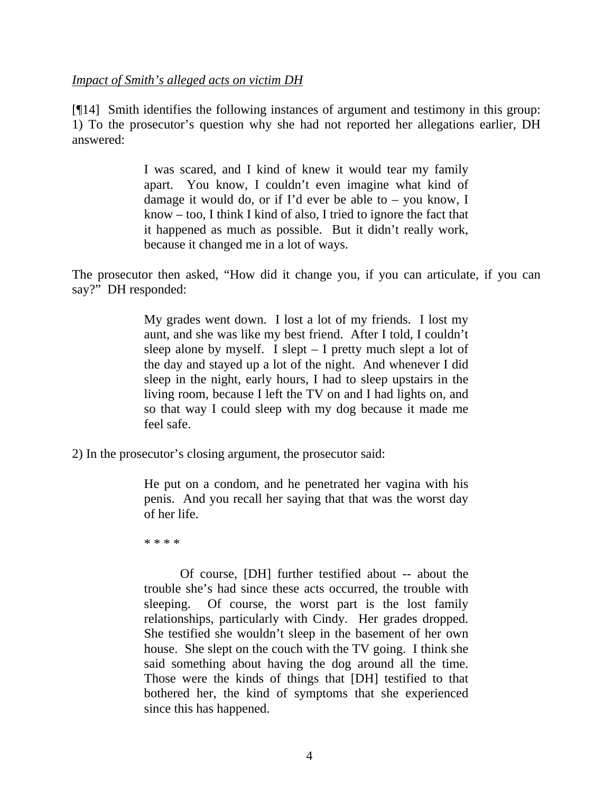### *Impact of Smith's alleged acts on victim DH*

[¶14] Smith identifies the following instances of argument and testimony in this group: 1) To the prosecutor's question why she had not reported her allegations earlier, DH answered:

> I was scared, and I kind of knew it would tear my family apart. You know, I couldn't even imagine what kind of damage it would do, or if I'd ever be able to – you know, I know – too, I think I kind of also, I tried to ignore the fact that it happened as much as possible. But it didn't really work, because it changed me in a lot of ways.

The prosecutor then asked, "How did it change you, if you can articulate, if you can say?" DH responded:

> My grades went down. I lost a lot of my friends. I lost my aunt, and she was like my best friend. After I told, I couldn't sleep alone by myself. I slept – I pretty much slept a lot of the day and stayed up a lot of the night. And whenever I did sleep in the night, early hours, I had to sleep upstairs in the living room, because I left the TV on and I had lights on, and so that way I could sleep with my dog because it made me feel safe.

2) In the prosecutor's closing argument, the prosecutor said:

He put on a condom, and he penetrated her vagina with his penis. And you recall her saying that that was the worst day of her life.

\* \* \* \*

Of course, [DH] further testified about -- about the trouble she's had since these acts occurred, the trouble with sleeping. Of course, the worst part is the lost family relationships, particularly with Cindy. Her grades dropped. She testified she wouldn't sleep in the basement of her own house. She slept on the couch with the TV going. I think she said something about having the dog around all the time. Those were the kinds of things that [DH] testified to that bothered her, the kind of symptoms that she experienced since this has happened.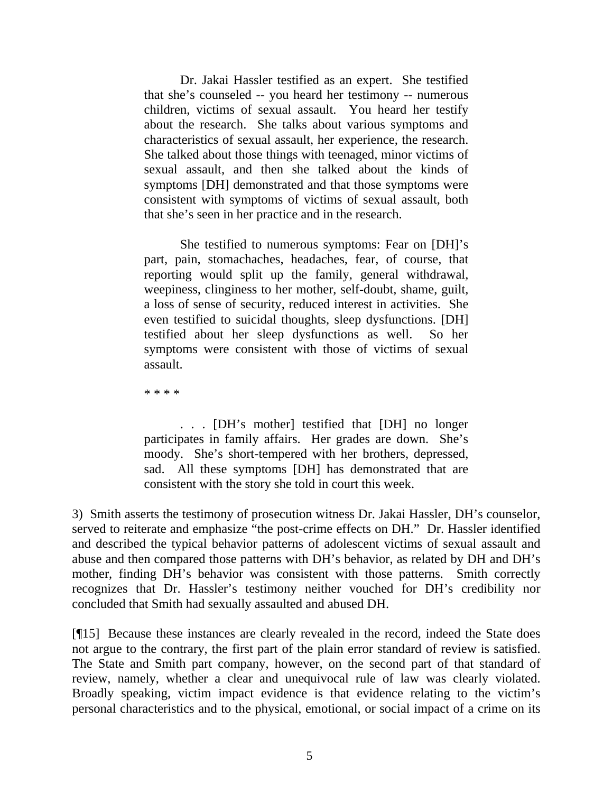Dr. Jakai Hassler testified as an expert. She testified that she's counseled -- you heard her testimony -- numerous children, victims of sexual assault. You heard her testify about the research. She talks about various symptoms and characteristics of sexual assault, her experience, the research. She talked about those things with teenaged, minor victims of sexual assault, and then she talked about the kinds of symptoms [DH] demonstrated and that those symptoms were consistent with symptoms of victims of sexual assault, both that she's seen in her practice and in the research.

She testified to numerous symptoms: Fear on [DH]'s part, pain, stomachaches, headaches, fear, of course, that reporting would split up the family, general withdrawal, weepiness, clinginess to her mother, self-doubt, shame, guilt, a loss of sense of security, reduced interest in activities. She even testified to suicidal thoughts, sleep dysfunctions. [DH] testified about her sleep dysfunctions as well. So her symptoms were consistent with those of victims of sexual assault.

\* \* \* \*

. . . [DH's mother] testified that [DH] no longer participates in family affairs. Her grades are down. She's moody. She's short-tempered with her brothers, depressed, sad. All these symptoms [DH] has demonstrated that are consistent with the story she told in court this week.

3) Smith asserts the testimony of prosecution witness Dr. Jakai Hassler, DH's counselor, served to reiterate and emphasize "the post-crime effects on DH." Dr. Hassler identified and described the typical behavior patterns of adolescent victims of sexual assault and abuse and then compared those patterns with DH's behavior, as related by DH and DH's mother, finding DH's behavior was consistent with those patterns. Smith correctly recognizes that Dr. Hassler's testimony neither vouched for DH's credibility nor concluded that Smith had sexually assaulted and abused DH.

[¶15] Because these instances are clearly revealed in the record, indeed the State does not argue to the contrary, the first part of the plain error standard of review is satisfied. The State and Smith part company, however, on the second part of that standard of review, namely, whether a clear and unequivocal rule of law was clearly violated. Broadly speaking, victim impact evidence is that evidence relating to the victim's personal characteristics and to the physical, emotional, or social impact of a crime on its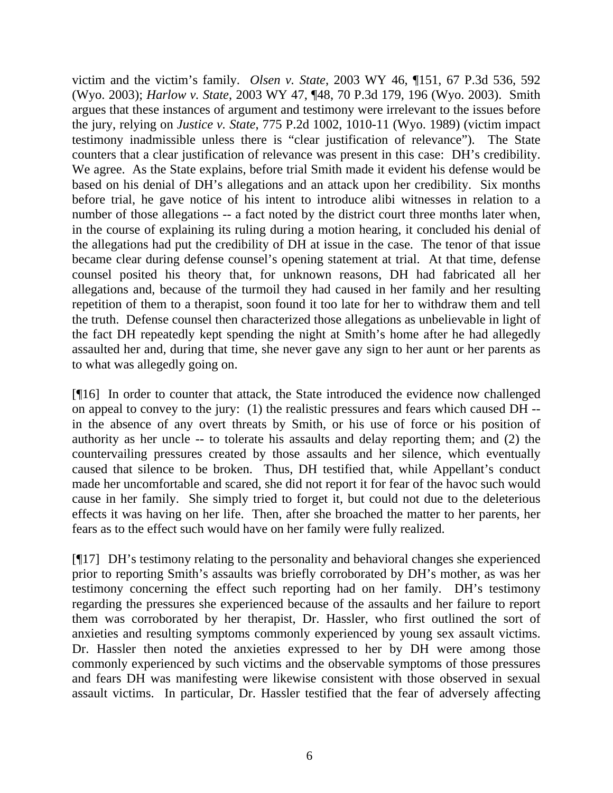victim and the victim's family. *Olsen v. State*, 2003 WY 46, ¶151, 67 P.3d 536, 592 (Wyo. 2003); *Harlow v. State*, 2003 WY 47, ¶48, 70 P.3d 179, 196 (Wyo. 2003). Smith argues that these instances of argument and testimony were irrelevant to the issues before the jury, relying on *Justice v. State*, 775 P.2d 1002, 1010-11 (Wyo. 1989) (victim impact testimony inadmissible unless there is "clear justification of relevance"). The State counters that a clear justification of relevance was present in this case: DH's credibility. We agree. As the State explains, before trial Smith made it evident his defense would be based on his denial of DH's allegations and an attack upon her credibility. Six months before trial, he gave notice of his intent to introduce alibi witnesses in relation to a number of those allegations -- a fact noted by the district court three months later when, in the course of explaining its ruling during a motion hearing, it concluded his denial of the allegations had put the credibility of DH at issue in the case. The tenor of that issue became clear during defense counsel's opening statement at trial. At that time, defense counsel posited his theory that, for unknown reasons, DH had fabricated all her allegations and, because of the turmoil they had caused in her family and her resulting repetition of them to a therapist, soon found it too late for her to withdraw them and tell the truth. Defense counsel then characterized those allegations as unbelievable in light of the fact DH repeatedly kept spending the night at Smith's home after he had allegedly assaulted her and, during that time, she never gave any sign to her aunt or her parents as to what was allegedly going on.

[¶16] In order to counter that attack, the State introduced the evidence now challenged on appeal to convey to the jury: (1) the realistic pressures and fears which caused DH - in the absence of any overt threats by Smith, or his use of force or his position of authority as her uncle -- to tolerate his assaults and delay reporting them; and (2) the countervailing pressures created by those assaults and her silence, which eventually caused that silence to be broken. Thus, DH testified that, while Appellant's conduct made her uncomfortable and scared, she did not report it for fear of the havoc such would cause in her family. She simply tried to forget it, but could not due to the deleterious effects it was having on her life. Then, after she broached the matter to her parents, her fears as to the effect such would have on her family were fully realized.

[¶17] DH's testimony relating to the personality and behavioral changes she experienced prior to reporting Smith's assaults was briefly corroborated by DH's mother, as was her testimony concerning the effect such reporting had on her family. DH's testimony regarding the pressures she experienced because of the assaults and her failure to report them was corroborated by her therapist, Dr. Hassler, who first outlined the sort of anxieties and resulting symptoms commonly experienced by young sex assault victims. Dr. Hassler then noted the anxieties expressed to her by DH were among those commonly experienced by such victims and the observable symptoms of those pressures and fears DH was manifesting were likewise consistent with those observed in sexual assault victims. In particular, Dr. Hassler testified that the fear of adversely affecting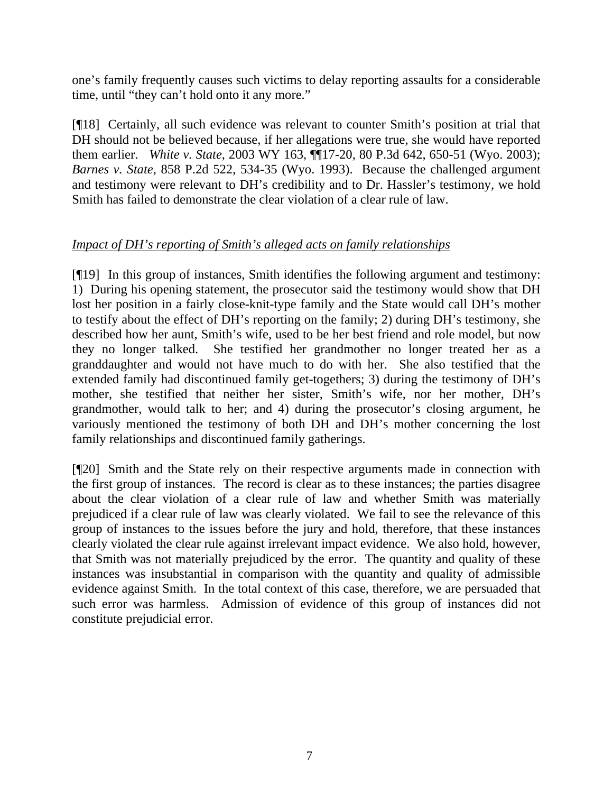one's family frequently causes such victims to delay reporting assaults for a considerable time, until "they can't hold onto it any more."

[¶18] Certainly, all such evidence was relevant to counter Smith's position at trial that DH should not be believed because, if her allegations were true, she would have reported them earlier. *White v. State*, 2003 WY 163, ¶¶17-20, 80 P.3d 642, 650-51 (Wyo. 2003); *Barnes v. State*, 858 P.2d 522, 534-35 (Wyo. 1993). Because the challenged argument and testimony were relevant to DH's credibility and to Dr. Hassler's testimony, we hold Smith has failed to demonstrate the clear violation of a clear rule of law.

# *Impact of DH's reporting of Smith's alleged acts on family relationships*

[¶19] In this group of instances, Smith identifies the following argument and testimony: 1) During his opening statement, the prosecutor said the testimony would show that DH lost her position in a fairly close-knit-type family and the State would call DH's mother to testify about the effect of DH's reporting on the family; 2) during DH's testimony, she described how her aunt, Smith's wife, used to be her best friend and role model, but now they no longer talked. She testified her grandmother no longer treated her as a granddaughter and would not have much to do with her. She also testified that the extended family had discontinued family get-togethers; 3) during the testimony of DH's mother, she testified that neither her sister, Smith's wife, nor her mother, DH's grandmother, would talk to her; and 4) during the prosecutor's closing argument, he variously mentioned the testimony of both DH and DH's mother concerning the lost family relationships and discontinued family gatherings.

[¶20] Smith and the State rely on their respective arguments made in connection with the first group of instances. The record is clear as to these instances; the parties disagree about the clear violation of a clear rule of law and whether Smith was materially prejudiced if a clear rule of law was clearly violated. We fail to see the relevance of this group of instances to the issues before the jury and hold, therefore, that these instances clearly violated the clear rule against irrelevant impact evidence. We also hold, however, that Smith was not materially prejudiced by the error. The quantity and quality of these instances was insubstantial in comparison with the quantity and quality of admissible evidence against Smith. In the total context of this case, therefore, we are persuaded that such error was harmless. Admission of evidence of this group of instances did not constitute prejudicial error.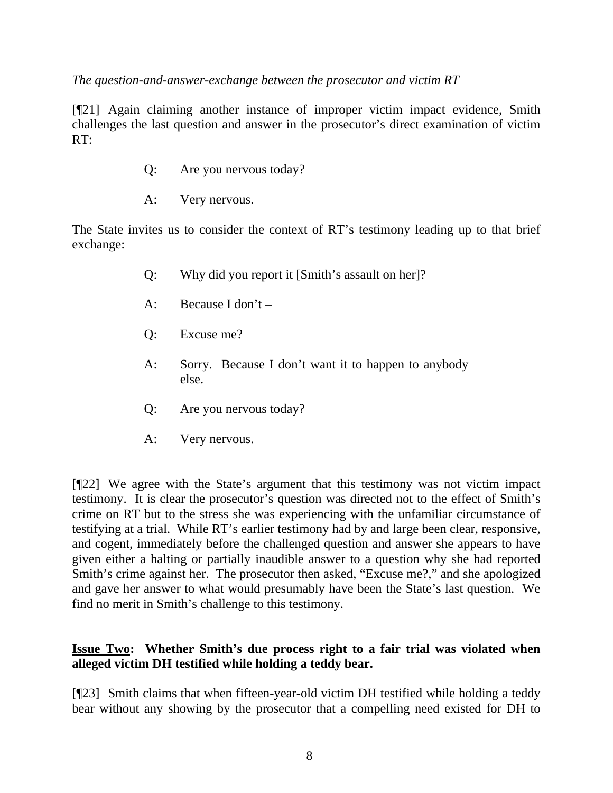## *The question-and-answer-exchange between the prosecutor and victim RT*

[¶21] Again claiming another instance of improper victim impact evidence, Smith challenges the last question and answer in the prosecutor's direct examination of victim RT:

- Q: Are you nervous today?
- A: Very nervous.

The State invites us to consider the context of RT's testimony leading up to that brief exchange:

- Q: Why did you report it [Smith's assault on her]?
- A: Because I don't –
- Q: Excuse me?
- A: Sorry. Because I don't want it to happen to anybody else.
- Q: Are you nervous today?
- A: Very nervous.

[¶22] We agree with the State's argument that this testimony was not victim impact testimony. It is clear the prosecutor's question was directed not to the effect of Smith's crime on RT but to the stress she was experiencing with the unfamiliar circumstance of testifying at a trial. While RT's earlier testimony had by and large been clear, responsive, and cogent, immediately before the challenged question and answer she appears to have given either a halting or partially inaudible answer to a question why she had reported Smith's crime against her. The prosecutor then asked, "Excuse me?," and she apologized and gave her answer to what would presumably have been the State's last question. We find no merit in Smith's challenge to this testimony.

# **Issue Two: Whether Smith's due process right to a fair trial was violated when alleged victim DH testified while holding a teddy bear.**

[¶23] Smith claims that when fifteen-year-old victim DH testified while holding a teddy bear without any showing by the prosecutor that a compelling need existed for DH to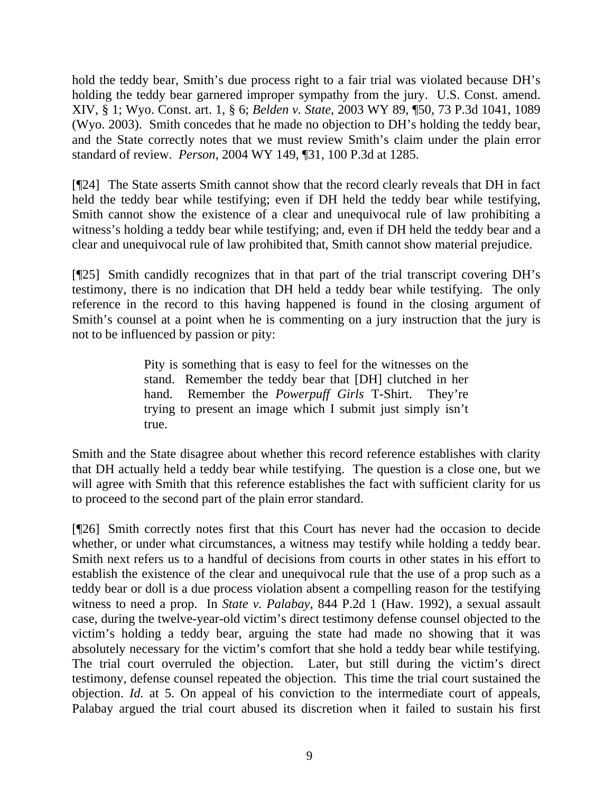hold the teddy bear, Smith's due process right to a fair trial was violated because DH's holding the teddy bear garnered improper sympathy from the jury. U.S. Const. amend. XIV, § 1; Wyo. Const. art. 1, § 6; *Belden v. State*, 2003 WY 89, ¶50, 73 P.3d 1041, 1089 (Wyo. 2003). Smith concedes that he made no objection to DH's holding the teddy bear, and the State correctly notes that we must review Smith's claim under the plain error standard of review. *Person*, 2004 WY 149, ¶31, 100 P.3d at 1285.

[¶24] The State asserts Smith cannot show that the record clearly reveals that DH in fact held the teddy bear while testifying; even if DH held the teddy bear while testifying, Smith cannot show the existence of a clear and unequivocal rule of law prohibiting a witness's holding a teddy bear while testifying; and, even if DH held the teddy bear and a clear and unequivocal rule of law prohibited that, Smith cannot show material prejudice.

[¶25] Smith candidly recognizes that in that part of the trial transcript covering DH's testimony, there is no indication that DH held a teddy bear while testifying. The only reference in the record to this having happened is found in the closing argument of Smith's counsel at a point when he is commenting on a jury instruction that the jury is not to be influenced by passion or pity:

> Pity is something that is easy to feel for the witnesses on the stand. Remember the teddy bear that [DH] clutched in her hand. Remember the *Powerpuff Girls* T-Shirt. They're trying to present an image which I submit just simply isn't true.

Smith and the State disagree about whether this record reference establishes with clarity that DH actually held a teddy bear while testifying. The question is a close one, but we will agree with Smith that this reference establishes the fact with sufficient clarity for us to proceed to the second part of the plain error standard.

[¶26] Smith correctly notes first that this Court has never had the occasion to decide whether, or under what circumstances, a witness may testify while holding a teddy bear. Smith next refers us to a handful of decisions from courts in other states in his effort to establish the existence of the clear and unequivocal rule that the use of a prop such as a teddy bear or doll is a due process violation absent a compelling reason for the testifying witness to need a prop. In *State v. Palabay*, 844 P.2d 1 (Haw. 1992), a sexual assault case, during the twelve-year-old victim's direct testimony defense counsel objected to the victim's holding a teddy bear, arguing the state had made no showing that it was absolutely necessary for the victim's comfort that she hold a teddy bear while testifying. The trial court overruled the objection. Later, but still during the victim's direct testimony, defense counsel repeated the objection. This time the trial court sustained the objection. *Id.* at 5. On appeal of his conviction to the intermediate court of appeals, Palabay argued the trial court abused its discretion when it failed to sustain his first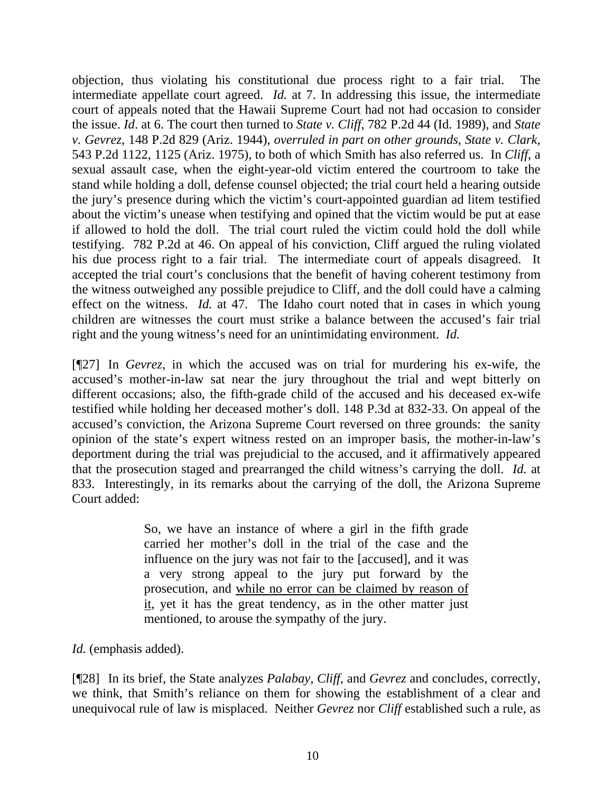objection, thus violating his constitutional due process right to a fair trial. The intermediate appellate court agreed. *Id.* at 7. In addressing this issue, the intermediate court of appeals noted that the Hawaii Supreme Court had not had occasion to consider the issue. *Id*. at 6. The court then turned to *State v. Cliff*, 782 P.2d 44 (Id. 1989), and *State v. Gevrez*, 148 P.2d 829 (Ariz. 1944), *overruled in part on other grounds, State v. Clark,*  543 P.2d 1122, 1125 (Ariz. 1975), to both of which Smith has also referred us. In *Cliff*, a sexual assault case, when the eight-year-old victim entered the courtroom to take the stand while holding a doll, defense counsel objected; the trial court held a hearing outside the jury's presence during which the victim's court-appointed guardian ad litem testified about the victim's unease when testifying and opined that the victim would be put at ease if allowed to hold the doll. The trial court ruled the victim could hold the doll while testifying. 782 P.2d at 46. On appeal of his conviction, Cliff argued the ruling violated his due process right to a fair trial. The intermediate court of appeals disagreed. It accepted the trial court's conclusions that the benefit of having coherent testimony from the witness outweighed any possible prejudice to Cliff, and the doll could have a calming effect on the witness. *Id.* at 47. The Idaho court noted that in cases in which young children are witnesses the court must strike a balance between the accused's fair trial right and the young witness's need for an unintimidating environment. *Id.*

[¶27] In *Gevrez*, in which the accused was on trial for murdering his ex-wife, the accused's mother-in-law sat near the jury throughout the trial and wept bitterly on different occasions; also, the fifth-grade child of the accused and his deceased ex-wife testified while holding her deceased mother's doll. 148 P.3d at 832-33. On appeal of the accused's conviction, the Arizona Supreme Court reversed on three grounds: the sanity opinion of the state's expert witness rested on an improper basis, the mother-in-law's deportment during the trial was prejudicial to the accused, and it affirmatively appeared that the prosecution staged and prearranged the child witness's carrying the doll. *Id.* at 833. Interestingly, in its remarks about the carrying of the doll, the Arizona Supreme Court added:

> So, we have an instance of where a girl in the fifth grade carried her mother's doll in the trial of the case and the influence on the jury was not fair to the [accused], and it was a very strong appeal to the jury put forward by the prosecution, and while no error can be claimed by reason of it, yet it has the great tendency, as in the other matter just mentioned, to arouse the sympathy of the jury.

*Id.* (emphasis added).

[¶28] In its brief, the State analyzes *Palabay, Cliff*, and *Gevrez* and concludes, correctly, we think, that Smith's reliance on them for showing the establishment of a clear and unequivocal rule of law is misplaced. Neither *Gevrez* nor *Cliff* established such a rule, as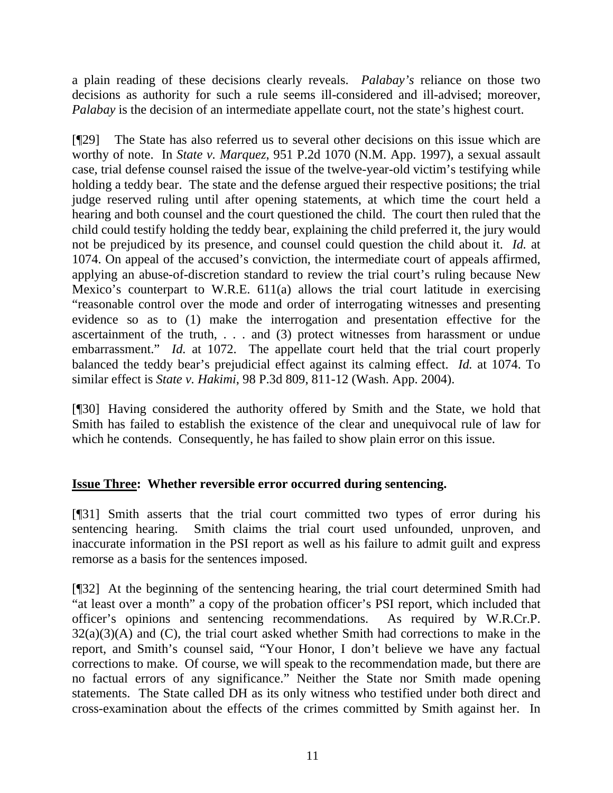a plain reading of these decisions clearly reveals. *Palabay's* reliance on those two decisions as authority for such a rule seems ill-considered and ill-advised; moreover, *Palabay* is the decision of an intermediate appellate court, not the state's highest court.

[¶29] The State has also referred us to several other decisions on this issue which are worthy of note. In *State v. Marquez*, 951 P.2d 1070 (N.M. App. 1997), a sexual assault case, trial defense counsel raised the issue of the twelve-year-old victim's testifying while holding a teddy bear. The state and the defense argued their respective positions; the trial judge reserved ruling until after opening statements, at which time the court held a hearing and both counsel and the court questioned the child. The court then ruled that the child could testify holding the teddy bear, explaining the child preferred it, the jury would not be prejudiced by its presence, and counsel could question the child about it. *Id.* at 1074. On appeal of the accused's conviction, the intermediate court of appeals affirmed, applying an abuse-of-discretion standard to review the trial court's ruling because New Mexico's counterpart to W.R.E. 611(a) allows the trial court latitude in exercising "reasonable control over the mode and order of interrogating witnesses and presenting evidence so as to (1) make the interrogation and presentation effective for the ascertainment of the truth, . . . and (3) protect witnesses from harassment or undue embarrassment." *Id.* at 1072. The appellate court held that the trial court properly balanced the teddy bear's prejudicial effect against its calming effect. *Id.* at 1074. To similar effect is *State v. Hakimi*, 98 P.3d 809, 811-12 (Wash. App. 2004).

[¶30] Having considered the authority offered by Smith and the State, we hold that Smith has failed to establish the existence of the clear and unequivocal rule of law for which he contends. Consequently, he has failed to show plain error on this issue.

# **Issue Three: Whether reversible error occurred during sentencing.**

[¶31] Smith asserts that the trial court committed two types of error during his sentencing hearing. Smith claims the trial court used unfounded, unproven, and inaccurate information in the PSI report as well as his failure to admit guilt and express remorse as a basis for the sentences imposed.

[¶32] At the beginning of the sentencing hearing, the trial court determined Smith had "at least over a month" a copy of the probation officer's PSI report, which included that officer's opinions and sentencing recommendations. As required by W.R.Cr.P.  $32(a)(3)(A)$  and (C), the trial court asked whether Smith had corrections to make in the report, and Smith's counsel said, "Your Honor, I don't believe we have any factual corrections to make. Of course, we will speak to the recommendation made, but there are no factual errors of any significance." Neither the State nor Smith made opening statements. The State called DH as its only witness who testified under both direct and cross-examination about the effects of the crimes committed by Smith against her. In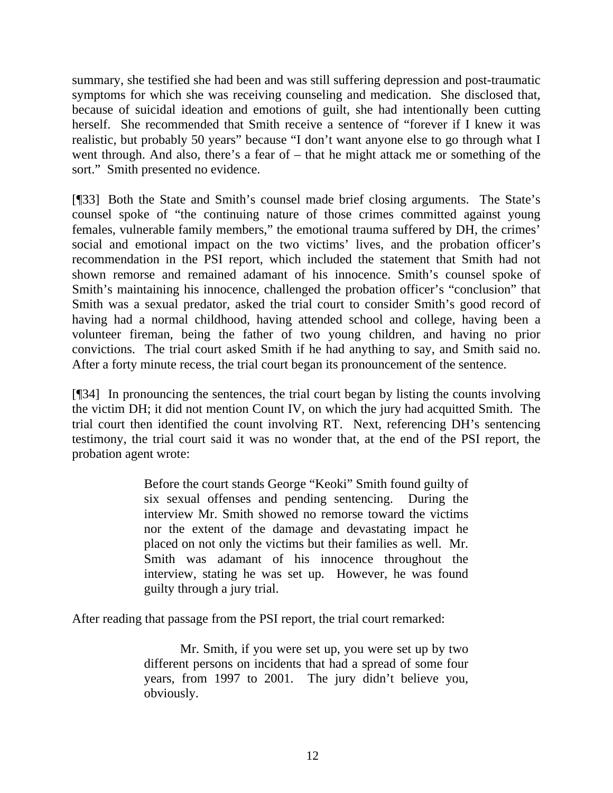summary, she testified she had been and was still suffering depression and post-traumatic symptoms for which she was receiving counseling and medication. She disclosed that, because of suicidal ideation and emotions of guilt, she had intentionally been cutting herself. She recommended that Smith receive a sentence of "forever if I knew it was realistic, but probably 50 years" because "I don't want anyone else to go through what I went through. And also, there's a fear of – that he might attack me or something of the sort." Smith presented no evidence.

[¶33] Both the State and Smith's counsel made brief closing arguments. The State's counsel spoke of "the continuing nature of those crimes committed against young females, vulnerable family members," the emotional trauma suffered by DH, the crimes' social and emotional impact on the two victims' lives, and the probation officer's recommendation in the PSI report, which included the statement that Smith had not shown remorse and remained adamant of his innocence. Smith's counsel spoke of Smith's maintaining his innocence, challenged the probation officer's "conclusion" that Smith was a sexual predator, asked the trial court to consider Smith's good record of having had a normal childhood, having attended school and college, having been a volunteer fireman, being the father of two young children, and having no prior convictions. The trial court asked Smith if he had anything to say, and Smith said no. After a forty minute recess, the trial court began its pronouncement of the sentence.

[¶34] In pronouncing the sentences, the trial court began by listing the counts involving the victim DH; it did not mention Count IV, on which the jury had acquitted Smith. The trial court then identified the count involving RT. Next, referencing DH's sentencing testimony, the trial court said it was no wonder that, at the end of the PSI report, the probation agent wrote:

> Before the court stands George "Keoki" Smith found guilty of six sexual offenses and pending sentencing. During the interview Mr. Smith showed no remorse toward the victims nor the extent of the damage and devastating impact he placed on not only the victims but their families as well. Mr. Smith was adamant of his innocence throughout the interview, stating he was set up. However, he was found guilty through a jury trial.

After reading that passage from the PSI report, the trial court remarked:

Mr. Smith, if you were set up, you were set up by two different persons on incidents that had a spread of some four years, from 1997 to 2001. The jury didn't believe you, obviously.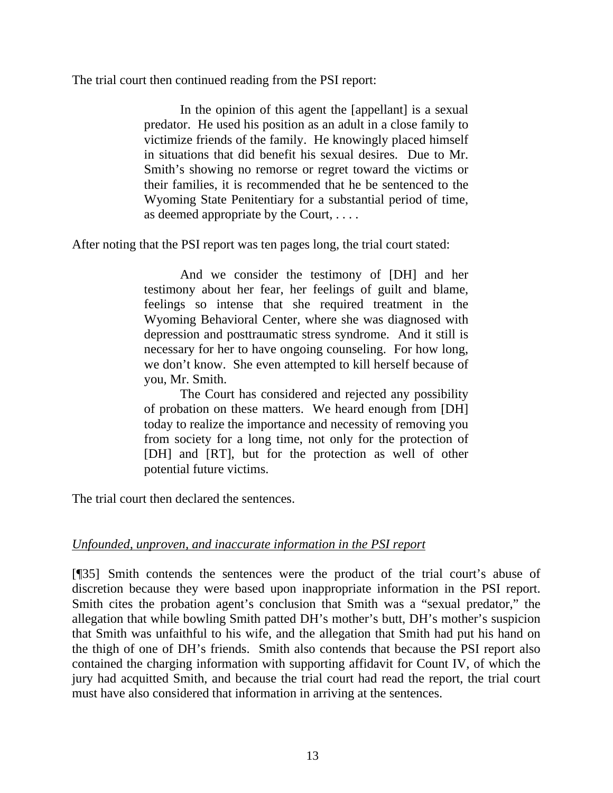The trial court then continued reading from the PSI report:

In the opinion of this agent the [appellant] is a sexual predator. He used his position as an adult in a close family to victimize friends of the family. He knowingly placed himself in situations that did benefit his sexual desires. Due to Mr. Smith's showing no remorse or regret toward the victims or their families, it is recommended that he be sentenced to the Wyoming State Penitentiary for a substantial period of time, as deemed appropriate by the Court, . . . .

After noting that the PSI report was ten pages long, the trial court stated:

And we consider the testimony of [DH] and her testimony about her fear, her feelings of guilt and blame, feelings so intense that she required treatment in the Wyoming Behavioral Center, where she was diagnosed with depression and posttraumatic stress syndrome. And it still is necessary for her to have ongoing counseling. For how long, we don't know. She even attempted to kill herself because of you, Mr. Smith.

The Court has considered and rejected any possibility of probation on these matters. We heard enough from [DH] today to realize the importance and necessity of removing you from society for a long time, not only for the protection of [DH] and [RT], but for the protection as well of other potential future victims.

The trial court then declared the sentences.

# *Unfounded, unproven, and inaccurate information in the PSI report*

[¶35] Smith contends the sentences were the product of the trial court's abuse of discretion because they were based upon inappropriate information in the PSI report. Smith cites the probation agent's conclusion that Smith was a "sexual predator," the allegation that while bowling Smith patted DH's mother's butt, DH's mother's suspicion that Smith was unfaithful to his wife, and the allegation that Smith had put his hand on the thigh of one of DH's friends. Smith also contends that because the PSI report also contained the charging information with supporting affidavit for Count IV, of which the jury had acquitted Smith, and because the trial court had read the report, the trial court must have also considered that information in arriving at the sentences.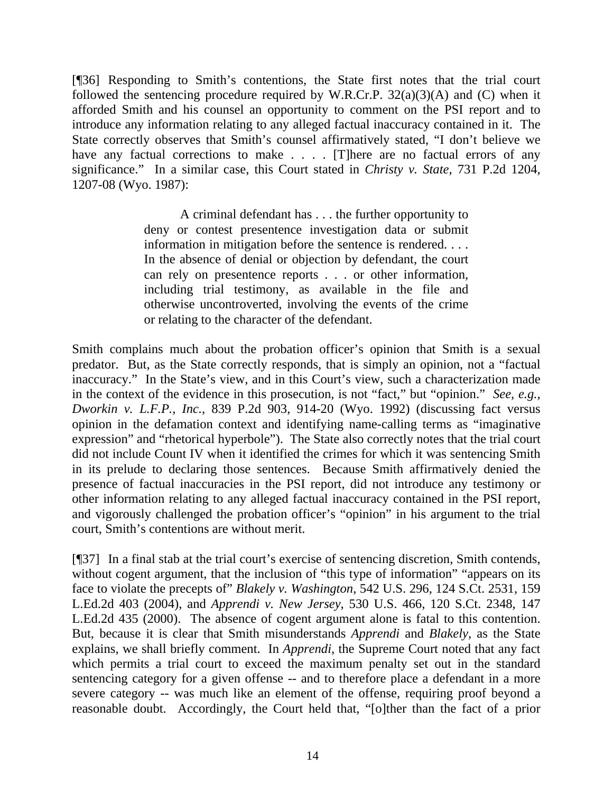[¶36] Responding to Smith's contentions, the State first notes that the trial court followed the sentencing procedure required by W.R.Cr.P.  $32(a)(3)(A)$  and (C) when it afforded Smith and his counsel an opportunity to comment on the PSI report and to introduce any information relating to any alleged factual inaccuracy contained in it. The State correctly observes that Smith's counsel affirmatively stated, "I don't believe we have any factual corrections to make . . . . [T] here are no factual errors of any significance." In a similar case, this Court stated in *Christy v. State*, 731 P.2d 1204, 1207-08 (Wyo. 1987):

> A criminal defendant has . . . the further opportunity to deny or contest presentence investigation data or submit information in mitigation before the sentence is rendered. . . . In the absence of denial or objection by defendant, the court can rely on presentence reports . . . or other information, including trial testimony, as available in the file and otherwise uncontroverted, involving the events of the crime or relating to the character of the defendant.

Smith complains much about the probation officer's opinion that Smith is a sexual predator. But, as the State correctly responds, that is simply an opinion, not a "factual inaccuracy." In the State's view, and in this Court's view, such a characterization made in the context of the evidence in this prosecution, is not "fact," but "opinion." *See, e.g., Dworkin v. L.F.P., Inc.*, 839 P.2d 903, 914-20 (Wyo. 1992) (discussing fact versus opinion in the defamation context and identifying name-calling terms as "imaginative expression" and "rhetorical hyperbole"). The State also correctly notes that the trial court did not include Count IV when it identified the crimes for which it was sentencing Smith in its prelude to declaring those sentences. Because Smith affirmatively denied the presence of factual inaccuracies in the PSI report, did not introduce any testimony or other information relating to any alleged factual inaccuracy contained in the PSI report, and vigorously challenged the probation officer's "opinion" in his argument to the trial court, Smith's contentions are without merit.

[¶37] In a final stab at the trial court's exercise of sentencing discretion, Smith contends, without cogent argument, that the inclusion of "this type of information" "appears on its face to violate the precepts of" *Blakely v. Washington*, 542 U.S. 296, 124 S.Ct. 2531, 159 L.Ed.2d 403 (2004), and *Apprendi v. New Jersey*, 530 U.S. 466, 120 S.Ct. 2348, 147 L.Ed.2d 435 (2000). The absence of cogent argument alone is fatal to this contention. But, because it is clear that Smith misunderstands *Apprendi* and *Blakely*, as the State explains, we shall briefly comment. In *Apprendi*, the Supreme Court noted that any fact which permits a trial court to exceed the maximum penalty set out in the standard sentencing category for a given offense -- and to therefore place a defendant in a more severe category -- was much like an element of the offense, requiring proof beyond a reasonable doubt. Accordingly, the Court held that, "[o]ther than the fact of a prior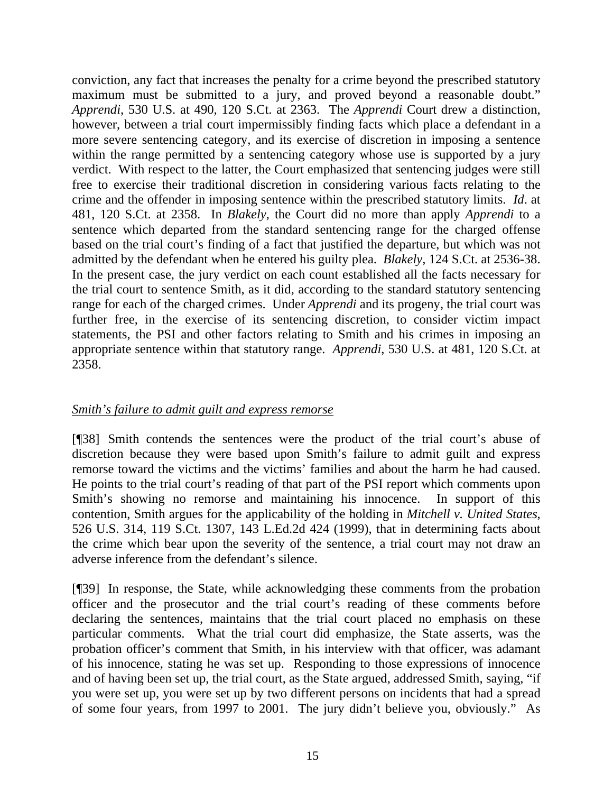conviction, any fact that increases the penalty for a crime beyond the prescribed statutory maximum must be submitted to a jury, and proved beyond a reasonable doubt." *Apprendi*, 530 U.S. at 490, 120 S.Ct. at 2363. The *Apprendi* Court drew a distinction, however, between a trial court impermissibly finding facts which place a defendant in a more severe sentencing category, and its exercise of discretion in imposing a sentence within the range permitted by a sentencing category whose use is supported by a jury verdict. With respect to the latter, the Court emphasized that sentencing judges were still free to exercise their traditional discretion in considering various facts relating to the crime and the offender in imposing sentence within the prescribed statutory limits. *Id*. at 481, 120 S.Ct. at 2358. In *Blakely*, the Court did no more than apply *Apprendi* to a sentence which departed from the standard sentencing range for the charged offense based on the trial court's finding of a fact that justified the departure, but which was not admitted by the defendant when he entered his guilty plea. *Blakely*, 124 S.Ct. at 2536-38. In the present case, the jury verdict on each count established all the facts necessary for the trial court to sentence Smith, as it did, according to the standard statutory sentencing range for each of the charged crimes. Under *Apprendi* and its progeny, the trial court was further free, in the exercise of its sentencing discretion, to consider victim impact statements, the PSI and other factors relating to Smith and his crimes in imposing an appropriate sentence within that statutory range. *Apprendi*, 530 U.S. at 481, 120 S.Ct. at 2358.

### *Smith's failure to admit guilt and express remorse*

[¶38] Smith contends the sentences were the product of the trial court's abuse of discretion because they were based upon Smith's failure to admit guilt and express remorse toward the victims and the victims' families and about the harm he had caused. He points to the trial court's reading of that part of the PSI report which comments upon Smith's showing no remorse and maintaining his innocence. In support of this contention, Smith argues for the applicability of the holding in *Mitchell v. United States*, 526 U.S. 314, 119 S.Ct. 1307, 143 L.Ed.2d 424 (1999), that in determining facts about the crime which bear upon the severity of the sentence, a trial court may not draw an adverse inference from the defendant's silence.

[¶39] In response, the State, while acknowledging these comments from the probation officer and the prosecutor and the trial court's reading of these comments before declaring the sentences, maintains that the trial court placed no emphasis on these particular comments. What the trial court did emphasize, the State asserts, was the probation officer's comment that Smith, in his interview with that officer, was adamant of his innocence, stating he was set up. Responding to those expressions of innocence and of having been set up, the trial court, as the State argued, addressed Smith, saying, "if you were set up, you were set up by two different persons on incidents that had a spread of some four years, from 1997 to 2001. The jury didn't believe you, obviously." As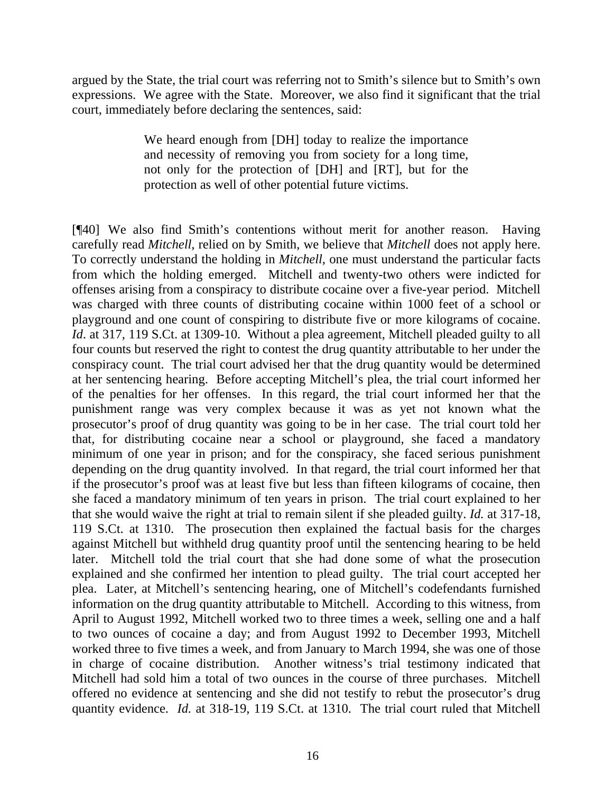argued by the State, the trial court was referring not to Smith's silence but to Smith's own expressions. We agree with the State. Moreover, we also find it significant that the trial court, immediately before declaring the sentences, said:

> We heard enough from [DH] today to realize the importance and necessity of removing you from society for a long time, not only for the protection of [DH] and [RT], but for the protection as well of other potential future victims.

[¶40] We also find Smith's contentions without merit for another reason. Having carefully read *Mitchell*, relied on by Smith, we believe that *Mitchell* does not apply here. To correctly understand the holding in *Mitchell*, one must understand the particular facts from which the holding emerged. Mitchell and twenty-two others were indicted for offenses arising from a conspiracy to distribute cocaine over a five-year period. Mitchell was charged with three counts of distributing cocaine within 1000 feet of a school or playground and one count of conspiring to distribute five or more kilograms of cocaine. *Id.* at 317, 119 S.Ct. at 1309-10. Without a plea agreement, Mitchell pleaded guilty to all four counts but reserved the right to contest the drug quantity attributable to her under the conspiracy count. The trial court advised her that the drug quantity would be determined at her sentencing hearing. Before accepting Mitchell's plea, the trial court informed her of the penalties for her offenses. In this regard, the trial court informed her that the punishment range was very complex because it was as yet not known what the prosecutor's proof of drug quantity was going to be in her case. The trial court told her that, for distributing cocaine near a school or playground, she faced a mandatory minimum of one year in prison; and for the conspiracy, she faced serious punishment depending on the drug quantity involved. In that regard, the trial court informed her that if the prosecutor's proof was at least five but less than fifteen kilograms of cocaine, then she faced a mandatory minimum of ten years in prison. The trial court explained to her that she would waive the right at trial to remain silent if she pleaded guilty. *Id.* at 317-18, 119 S.Ct. at 1310. The prosecution then explained the factual basis for the charges against Mitchell but withheld drug quantity proof until the sentencing hearing to be held later. Mitchell told the trial court that she had done some of what the prosecution explained and she confirmed her intention to plead guilty. The trial court accepted her plea. Later, at Mitchell's sentencing hearing, one of Mitchell's codefendants furnished information on the drug quantity attributable to Mitchell. According to this witness, from April to August 1992, Mitchell worked two to three times a week, selling one and a half to two ounces of cocaine a day; and from August 1992 to December 1993, Mitchell worked three to five times a week, and from January to March 1994, she was one of those in charge of cocaine distribution. Another witness's trial testimony indicated that Mitchell had sold him a total of two ounces in the course of three purchases. Mitchell offered no evidence at sentencing and she did not testify to rebut the prosecutor's drug quantity evidence. *Id.* at 318-19, 119 S.Ct. at 1310. The trial court ruled that Mitchell